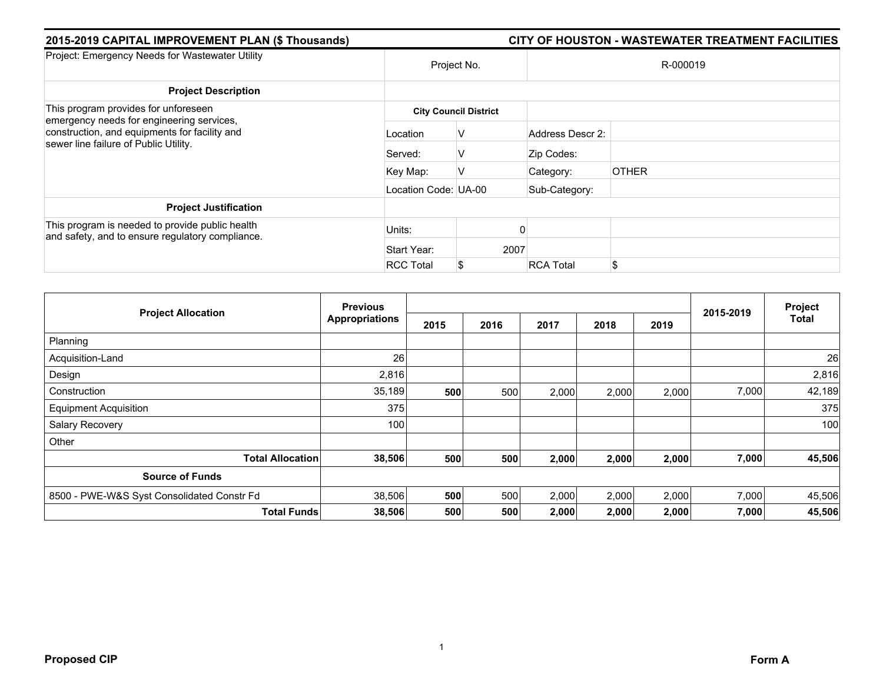| 2015-2019 CAPITAL IMPROVEMENT PLAN (\$ Thousands)                                                   |                      |                              | CITY OF HOUSTON - WASTEWATER TREATMENT FACILITIES |              |  |  |  |
|-----------------------------------------------------------------------------------------------------|----------------------|------------------------------|---------------------------------------------------|--------------|--|--|--|
| Project: Emergency Needs for Wastewater Utility                                                     | Project No.          |                              | R-000019                                          |              |  |  |  |
| <b>Project Description</b>                                                                          |                      |                              |                                                   |              |  |  |  |
| This program provides for unforeseen<br>emergency needs for engineering services,                   |                      | <b>City Council District</b> |                                                   |              |  |  |  |
| construction, and equipments for facility and<br>sewer line failure of Public Utility.              | Location             | V                            | Address Descr 2:                                  |              |  |  |  |
|                                                                                                     | Served:              | V                            | Zip Codes:                                        |              |  |  |  |
|                                                                                                     | Key Map:             | V                            | Category:                                         | <b>OTHER</b> |  |  |  |
|                                                                                                     | Location Code: UA-00 |                              | Sub-Category:                                     |              |  |  |  |
| <b>Project Justification</b>                                                                        |                      |                              |                                                   |              |  |  |  |
| This program is needed to provide public health<br>and safety, and to ensure regulatory compliance. | Units:               |                              |                                                   |              |  |  |  |
|                                                                                                     | Start Year:          | 2007                         |                                                   |              |  |  |  |
|                                                                                                     | <b>RCC Total</b>     | \$                           | <b>RCA Total</b>                                  |              |  |  |  |

|                                            | <b>Previous</b>       |      |      |       |       | Project |           |              |
|--------------------------------------------|-----------------------|------|------|-------|-------|---------|-----------|--------------|
| <b>Project Allocation</b>                  | <b>Appropriations</b> | 2015 | 2016 | 2017  | 2018  | 2019    | 2015-2019 | <b>Total</b> |
| Planning                                   |                       |      |      |       |       |         |           |              |
| Acquisition-Land                           | 26                    |      |      |       |       |         |           | 26           |
| Design                                     | 2,816                 |      |      |       |       |         |           | 2,816        |
| Construction                               | 35,189                | 500  | 500  | 2,000 | 2,000 | 2,000   | 7,000     | 42,189       |
| <b>Equipment Acquisition</b>               | 375                   |      |      |       |       |         |           | 375          |
| Salary Recovery                            | 100                   |      |      |       |       |         |           | 100          |
| Other                                      |                       |      |      |       |       |         |           |              |
| <b>Total Allocation</b>                    | 38,506                | 500  | 500  | 2,000 | 2,000 | 2,000   | 7,000     | 45,506       |
| <b>Source of Funds</b>                     |                       |      |      |       |       |         |           |              |
| 8500 - PWE-W&S Syst Consolidated Constr Fd | 38,506                | 500  | 500  | 2,000 | 2,000 | 2,000   | 7,000     | 45,506       |
| <b>Total Funds</b>                         | 38,506                | 500  | 500  | 2,000 | 2,000 | 2,000   | 7,000     | 45,506       |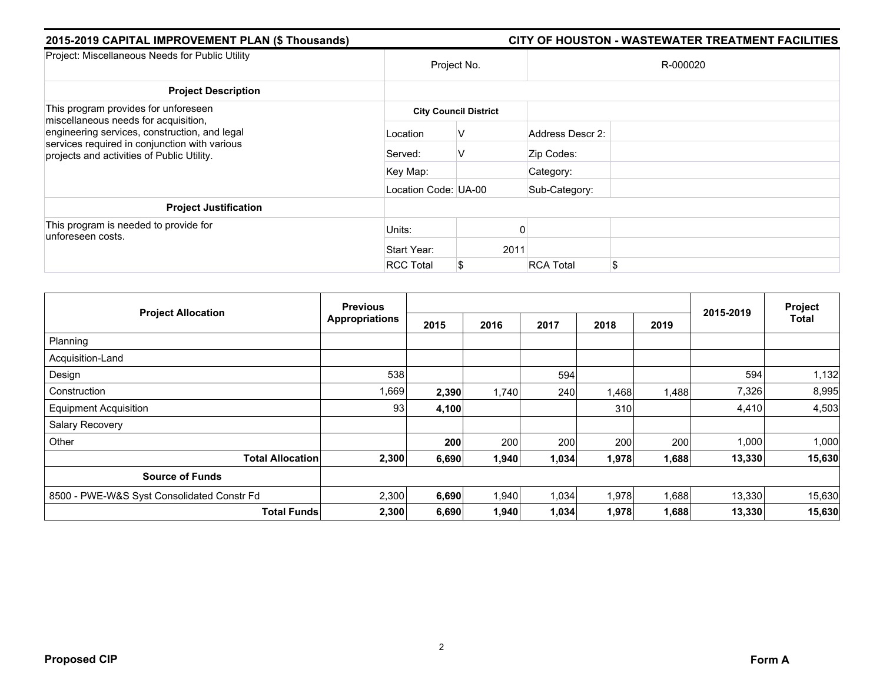| 2015-2019 CAPITAL IMPROVEMENT PLAN (\$ Thousands)                                                                                            |                      |                              |                  | CITY OF HOUSTON - WASTEWATER TREATMENT FACILITIES |  |  |
|----------------------------------------------------------------------------------------------------------------------------------------------|----------------------|------------------------------|------------------|---------------------------------------------------|--|--|
| Project: Miscellaneous Needs for Public Utility                                                                                              | Project No.          |                              | R-000020         |                                                   |  |  |
| <b>Project Description</b>                                                                                                                   |                      |                              |                  |                                                   |  |  |
| This program provides for unforeseen<br>miscellaneous needs for acquisition,                                                                 |                      | <b>City Council District</b> |                  |                                                   |  |  |
| engineering services, construction, and legal<br>services required in conjunction with various<br>projects and activities of Public Utility. | Location             | v                            | Address Descr 2: |                                                   |  |  |
|                                                                                                                                              | Served:              | V                            | Zip Codes:       |                                                   |  |  |
|                                                                                                                                              | Key Map:             |                              | Category:        |                                                   |  |  |
|                                                                                                                                              | Location Code: UA-00 |                              | Sub-Category:    |                                                   |  |  |
| <b>Project Justification</b>                                                                                                                 |                      |                              |                  |                                                   |  |  |
| This program is needed to provide for<br>unforeseen costs.                                                                                   | Units:               |                              |                  |                                                   |  |  |
|                                                                                                                                              | Start Year:          | 2011                         |                  |                                                   |  |  |
|                                                                                                                                              | <b>RCC Total</b>     | \$                           | <b>RCA Total</b> | \$.                                               |  |  |

|                                            | <b>Previous</b>       |       |       |       |       | Project |           |              |
|--------------------------------------------|-----------------------|-------|-------|-------|-------|---------|-----------|--------------|
| <b>Project Allocation</b>                  | <b>Appropriations</b> | 2015  | 2016  | 2017  | 2018  | 2019    | 2015-2019 | <b>Total</b> |
| Planning                                   |                       |       |       |       |       |         |           |              |
| Acquisition-Land                           |                       |       |       |       |       |         |           |              |
| Design                                     | 538                   |       |       | 594   |       |         | 594       | 1,132        |
| Construction                               | 1,669                 | 2,390 | 1,740 | 240   | 1,468 | 1,488   | 7,326     | 8,995        |
| <b>Equipment Acquisition</b>               | 93                    | 4,100 |       |       | 310   |         | 4,410     | 4,503        |
| Salary Recovery                            |                       |       |       |       |       |         |           |              |
| Other                                      |                       | 200   | 200   | 200   | 200   | 200     | 1,000     | 1,000        |
| <b>Total Allocation</b>                    | 2,300                 | 6,690 | 1,940 | 1,034 | 1,978 | 1,688   | 13,330    | 15,630       |
| <b>Source of Funds</b>                     |                       |       |       |       |       |         |           |              |
| 8500 - PWE-W&S Syst Consolidated Constr Fd | 2,300                 | 6,690 | 1,940 | 1,034 | 1,978 | 1,688   | 13,330    | 15,630       |
| <b>Total Funds</b>                         | 2,300                 | 6,690 | 1,940 | 1,034 | 1,978 | 1,688   | 13,330    | 15,630       |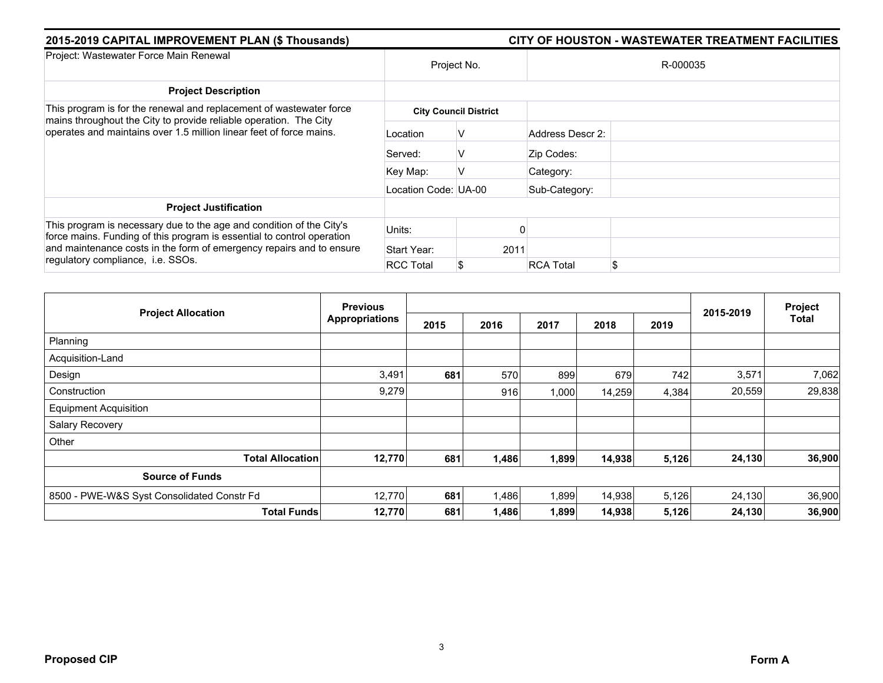| 2015-2019 CAPITAL IMPROVEMENT PLAN (\$ Thousands)                                                                                                                                                                                                           |                      | CITY OF HOUSTON - WASTEWATER TREATMENT FACILITIES |                        |  |  |  |  |
|-------------------------------------------------------------------------------------------------------------------------------------------------------------------------------------------------------------------------------------------------------------|----------------------|---------------------------------------------------|------------------------|--|--|--|--|
| Project: Wastewater Force Main Renewal                                                                                                                                                                                                                      | Project No.          |                                                   | R-000035               |  |  |  |  |
| <b>Project Description</b>                                                                                                                                                                                                                                  |                      |                                                   |                        |  |  |  |  |
| This program is for the renewal and replacement of wastewater force<br>mains throughout the City to provide reliable operation. The City<br>operates and maintains over 1.5 million linear feet of force mains.                                             |                      | <b>City Council District</b>                      |                        |  |  |  |  |
|                                                                                                                                                                                                                                                             | Location             | ν                                                 | Address Descr 2:       |  |  |  |  |
|                                                                                                                                                                                                                                                             | Served:              | ν                                                 | Zip Codes:             |  |  |  |  |
|                                                                                                                                                                                                                                                             | Key Map:             |                                                   | Category:              |  |  |  |  |
|                                                                                                                                                                                                                                                             | Location Code: UA-00 |                                                   | Sub-Category:          |  |  |  |  |
| <b>Project Justification</b>                                                                                                                                                                                                                                |                      |                                                   |                        |  |  |  |  |
| This program is necessary due to the age and condition of the City's<br>force mains. Funding of this program is essential to control operation<br>and maintenance costs in the form of emergency repairs and to ensure<br>regulatory compliance, i.e. SSOs. | Units:               |                                                   |                        |  |  |  |  |
|                                                                                                                                                                                                                                                             | Start Year:          | 2011                                              |                        |  |  |  |  |
|                                                                                                                                                                                                                                                             | <b>RCC Total</b>     |                                                   | \$<br><b>RCA Total</b> |  |  |  |  |

|                                            | <b>Previous</b>       |      |       |       |        | Project |           |              |
|--------------------------------------------|-----------------------|------|-------|-------|--------|---------|-----------|--------------|
| <b>Project Allocation</b>                  | <b>Appropriations</b> | 2015 | 2016  | 2017  | 2018   | 2019    | 2015-2019 | <b>Total</b> |
| Planning                                   |                       |      |       |       |        |         |           |              |
| Acquisition-Land                           |                       |      |       |       |        |         |           |              |
| Design                                     | 3,491                 | 681  | 570   | 899   | 679    | 742     | 3,571     | 7,062        |
| Construction                               | 9,279                 |      | 916   | 1,000 | 14,259 | 4,384   | 20,559    | 29,838       |
| <b>Equipment Acquisition</b>               |                       |      |       |       |        |         |           |              |
| Salary Recovery                            |                       |      |       |       |        |         |           |              |
| Other                                      |                       |      |       |       |        |         |           |              |
| <b>Total Allocation</b>                    | 12,770                | 681  | 1,486 | 1,899 | 14,938 | 5,126   | 24,130    | 36,900       |
| <b>Source of Funds</b>                     |                       |      |       |       |        |         |           |              |
| 8500 - PWE-W&S Syst Consolidated Constr Fd | 12,770                | 681  | 1,486 | 1,899 | 14,938 | 5,126   | 24,130    | 36,900       |
| <b>Total Funds</b>                         | 12,770                | 681  | 1,486 | 1,899 | 14,938 | 5,126   | 24,130    | 36,900       |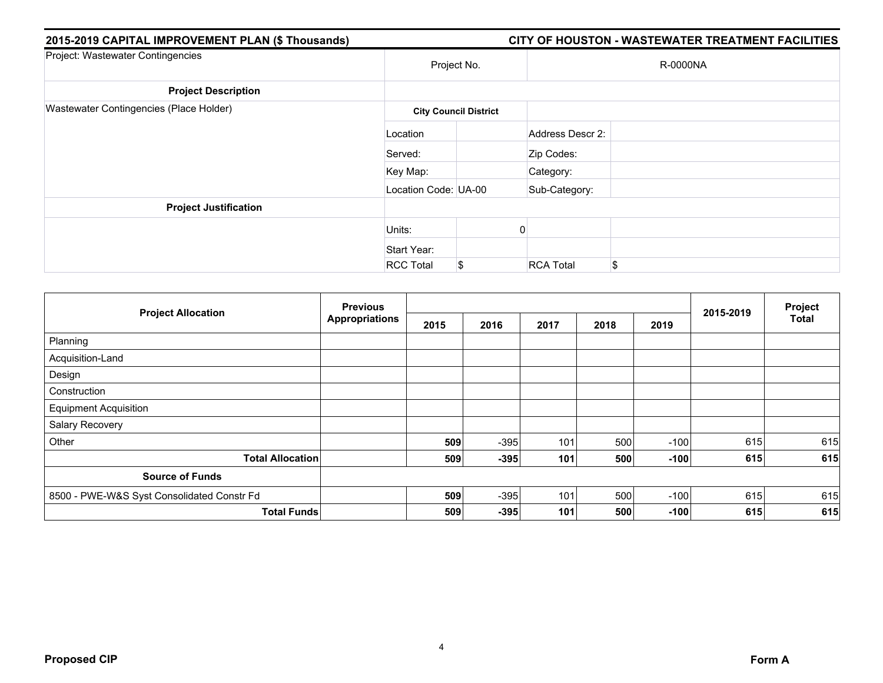| 2015-2019 CAPITAL IMPROVEMENT PLAN (\$ Thousands) |                      |                              |                  | CITY OF HOUSTON - WASTEWATER TREATMENT FACILITIES |
|---------------------------------------------------|----------------------|------------------------------|------------------|---------------------------------------------------|
| Project: Wastewater Contingencies                 |                      | Project No.                  |                  | R-0000NA                                          |
| <b>Project Description</b>                        |                      |                              |                  |                                                   |
| Wastewater Contingencies (Place Holder)           |                      | <b>City Council District</b> |                  |                                                   |
|                                                   | Location             |                              | Address Descr 2: |                                                   |
|                                                   | Served:              |                              | Zip Codes:       |                                                   |
|                                                   | Key Map:             |                              | Category:        |                                                   |
|                                                   | Location Code: UA-00 |                              | Sub-Category:    |                                                   |
| <b>Project Justification</b>                      |                      |                              |                  |                                                   |
|                                                   | Units:               |                              |                  |                                                   |
|                                                   | Start Year:          |                              |                  |                                                   |
|                                                   | <b>RCC Total</b>     | S                            | <b>RCA Total</b> | \$                                                |

| <b>Project Allocation</b>                  | <b>Previous</b><br><b>Appropriations</b> |      |        |      | Project |        |           |              |
|--------------------------------------------|------------------------------------------|------|--------|------|---------|--------|-----------|--------------|
|                                            |                                          | 2015 | 2016   | 2017 | 2018    | 2019   | 2015-2019 | <b>Total</b> |
| Planning                                   |                                          |      |        |      |         |        |           |              |
| Acquisition-Land                           |                                          |      |        |      |         |        |           |              |
| Design                                     |                                          |      |        |      |         |        |           |              |
| Construction                               |                                          |      |        |      |         |        |           |              |
| <b>Equipment Acquisition</b>               |                                          |      |        |      |         |        |           |              |
| Salary Recovery                            |                                          |      |        |      |         |        |           |              |
| Other                                      |                                          | 509  | $-395$ | 101  | 500     | $-100$ | 615       | 615          |
| <b>Total Allocation</b>                    |                                          | 509  | $-395$ | 101  | 500     | $-100$ | 615       | 615          |
| <b>Source of Funds</b>                     |                                          |      |        |      |         |        |           |              |
| 8500 - PWE-W&S Syst Consolidated Constr Fd |                                          | 509  | $-395$ | 101  | 500     | $-100$ | 615       | 615          |
| <b>Total Funds</b>                         |                                          | 509  | $-395$ | 101  | 500     | $-100$ | 615       | 615          |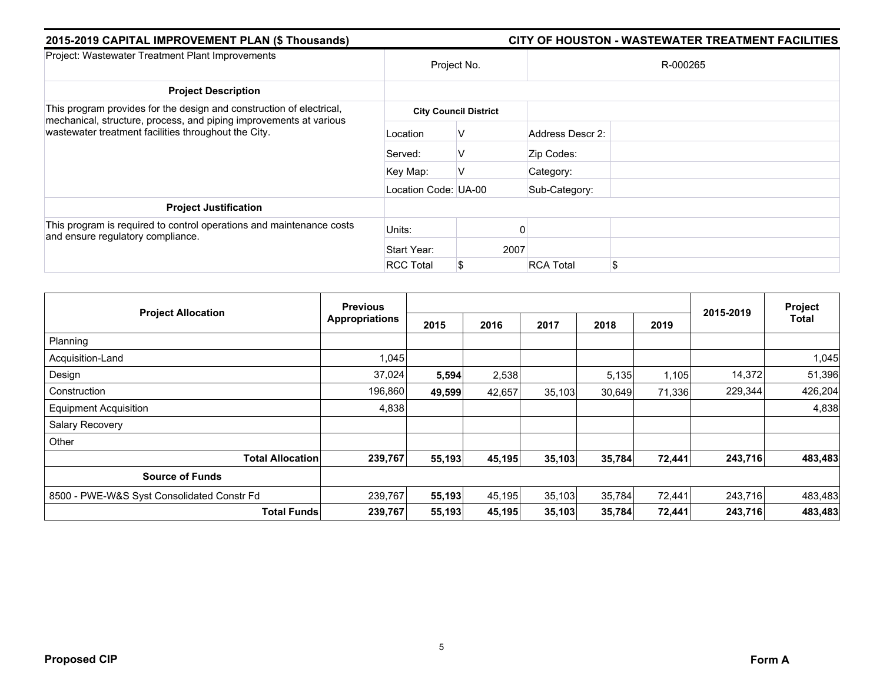| 2015-2019 CAPITAL IMPROVEMENT PLAN (\$ Thousands)                                                                          |                      | CITY OF HOUSTON - WASTEWATER TREATMENT FACILITIES |                  |    |  |  |  |  |
|----------------------------------------------------------------------------------------------------------------------------|----------------------|---------------------------------------------------|------------------|----|--|--|--|--|
| Project: Wastewater Treatment Plant Improvements                                                                           | Project No.          |                                                   | R-000265         |    |  |  |  |  |
| <b>Project Description</b>                                                                                                 |                      |                                                   |                  |    |  |  |  |  |
| This program provides for the design and construction of electrical,                                                       |                      | <b>City Council District</b>                      |                  |    |  |  |  |  |
| mechanical, structure, process, and piping improvements at various<br>wastewater treatment facilities throughout the City. | Location             | V                                                 | Address Descr 2: |    |  |  |  |  |
|                                                                                                                            | Served:              | V                                                 | Zip Codes:       |    |  |  |  |  |
|                                                                                                                            | Key Map:             | V                                                 | Category:        |    |  |  |  |  |
|                                                                                                                            | Location Code: UA-00 |                                                   | Sub-Category:    |    |  |  |  |  |
| <b>Project Justification</b>                                                                                               |                      |                                                   |                  |    |  |  |  |  |
| This program is required to control operations and maintenance costs<br>and ensure regulatory compliance.                  | Units:               |                                                   |                  |    |  |  |  |  |
|                                                                                                                            | Start Year:          | 2007                                              |                  |    |  |  |  |  |
|                                                                                                                            | <b>RCC Total</b>     | S                                                 | <b>RCA Total</b> | \$ |  |  |  |  |

| <b>Project Allocation</b>                  | <b>Previous</b>       |        |        |        |        | Project |           |              |
|--------------------------------------------|-----------------------|--------|--------|--------|--------|---------|-----------|--------------|
|                                            | <b>Appropriations</b> | 2015   | 2016   | 2017   | 2018   | 2019    | 2015-2019 | <b>Total</b> |
| Planning                                   |                       |        |        |        |        |         |           |              |
| Acquisition-Land                           | 1,045                 |        |        |        |        |         |           | 1,045        |
| Design                                     | 37,024                | 5,594  | 2,538  |        | 5,135  | 1,105   | 14,372    | 51,396       |
| Construction                               | 196,860               | 49,599 | 42,657 | 35,103 | 30,649 | 71,336  | 229,344   | 426,204      |
| <b>Equipment Acquisition</b>               | 4,838                 |        |        |        |        |         |           | 4,838        |
| Salary Recovery                            |                       |        |        |        |        |         |           |              |
| Other                                      |                       |        |        |        |        |         |           |              |
| <b>Total Allocation</b>                    | 239,767               | 55,193 | 45,195 | 35,103 | 35,784 | 72,441  | 243,716   | 483,483      |
| <b>Source of Funds</b>                     |                       |        |        |        |        |         |           |              |
| 8500 - PWE-W&S Syst Consolidated Constr Fd | 239,767               | 55,193 | 45,195 | 35,103 | 35,784 | 72,441  | 243,716   | 483,483      |
| <b>Total Funds</b>                         | 239,767               | 55,193 | 45,195 | 35,103 | 35,784 | 72,441  | 243,716   | 483,483      |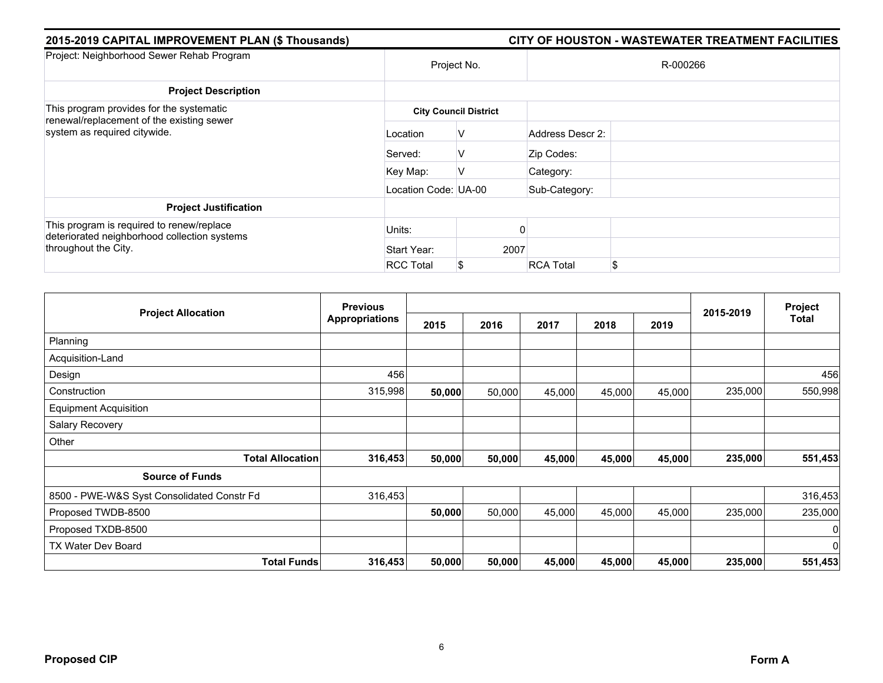| 2015-2019 CAPITAL IMPROVEMENT PLAN (\$ Thousands)                                                                 |                      | CITY OF HOUSTON - WASTEWATER TREATMENT FACILITIES |                  |          |  |  |  |  |
|-------------------------------------------------------------------------------------------------------------------|----------------------|---------------------------------------------------|------------------|----------|--|--|--|--|
| Project: Neighborhood Sewer Rehab Program                                                                         |                      | Project No.                                       |                  | R-000266 |  |  |  |  |
| <b>Project Description</b>                                                                                        |                      |                                                   |                  |          |  |  |  |  |
| This program provides for the systematic<br>renewal/replacement of the existing sewer                             |                      | <b>City Council District</b>                      |                  |          |  |  |  |  |
| system as required citywide.                                                                                      | Location             | v                                                 | Address Descr 2: |          |  |  |  |  |
|                                                                                                                   | Served:              | v                                                 | Zip Codes:       |          |  |  |  |  |
|                                                                                                                   | Key Map:             | ν                                                 | Category:        |          |  |  |  |  |
|                                                                                                                   | Location Code: UA-00 |                                                   | Sub-Category:    |          |  |  |  |  |
| <b>Project Justification</b>                                                                                      |                      |                                                   |                  |          |  |  |  |  |
| This program is required to renew/replace<br>deteriorated neighborhood collection systems<br>throughout the City. | Units:               |                                                   |                  |          |  |  |  |  |
|                                                                                                                   | Start Year:          | 2007                                              |                  |          |  |  |  |  |
|                                                                                                                   | <b>RCC Total</b>     |                                                   | <b>RCA Total</b> | \$       |  |  |  |  |

|                                            | <b>Previous</b>       |        |        |        |        |        | 2015-2019 | Project<br>Total |
|--------------------------------------------|-----------------------|--------|--------|--------|--------|--------|-----------|------------------|
| <b>Project Allocation</b>                  | <b>Appropriations</b> | 2015   | 2016   | 2017   | 2018   | 2019   |           |                  |
| Planning                                   |                       |        |        |        |        |        |           |                  |
| Acquisition-Land                           |                       |        |        |        |        |        |           |                  |
| Design                                     | 456                   |        |        |        |        |        |           | 456              |
| Construction                               | 315,998               | 50,000 | 50,000 | 45,000 | 45,000 | 45,000 | 235,000   | 550,998          |
| <b>Equipment Acquisition</b>               |                       |        |        |        |        |        |           |                  |
| Salary Recovery                            |                       |        |        |        |        |        |           |                  |
| Other                                      |                       |        |        |        |        |        |           |                  |
| <b>Total Allocation</b>                    | 316,453               | 50,000 | 50,000 | 45,000 | 45,000 | 45,000 | 235,000   | 551,453          |
| <b>Source of Funds</b>                     |                       |        |        |        |        |        |           |                  |
| 8500 - PWE-W&S Syst Consolidated Constr Fd | 316,453               |        |        |        |        |        |           | 316,453          |
| Proposed TWDB-8500                         |                       | 50,000 | 50,000 | 45,000 | 45,000 | 45,000 | 235,000   | 235,000          |
| Proposed TXDB-8500                         |                       |        |        |        |        |        |           | $\overline{0}$   |
| TX Water Dev Board                         |                       |        |        |        |        |        |           | $\overline{0}$   |
| <b>Total Funds</b>                         | 316,453               | 50,000 | 50,000 | 45,000 | 45,000 | 45,000 | 235,000   | 551,453          |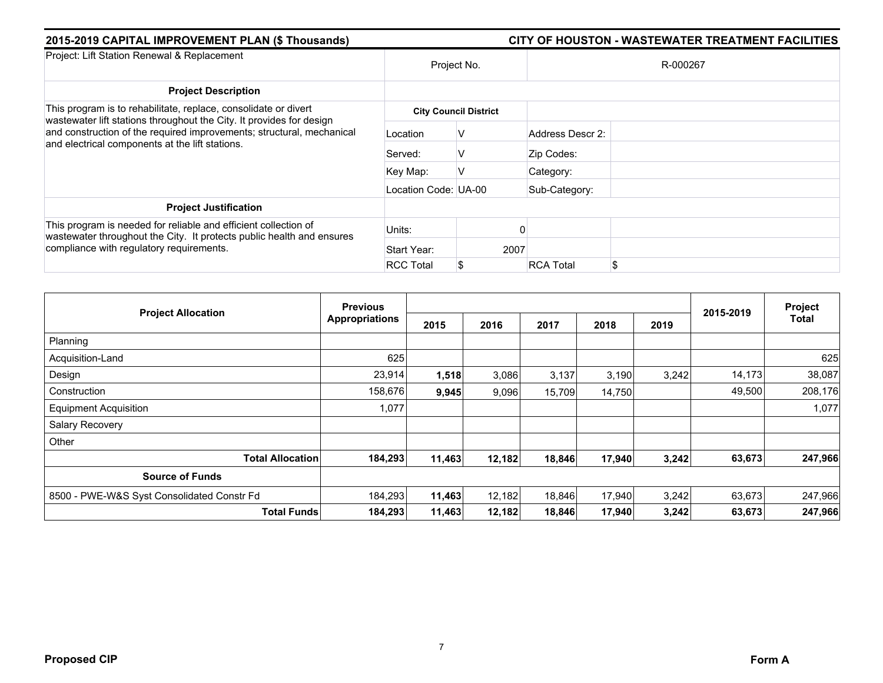| 2015-2019 CAPITAL IMPROVEMENT PLAN (\$ Thousands)                                                                                                                                    |                      | CITY OF HOUSTON - WASTEWATER TREATMENT FACILITIES |                        |  |  |  |  |
|--------------------------------------------------------------------------------------------------------------------------------------------------------------------------------------|----------------------|---------------------------------------------------|------------------------|--|--|--|--|
| Project: Lift Station Renewal & Replacement                                                                                                                                          | Project No.          |                                                   | R-000267               |  |  |  |  |
| <b>Project Description</b>                                                                                                                                                           |                      |                                                   |                        |  |  |  |  |
| This program is to rehabilitate, replace, consolidate or divert<br>wastewater lift stations throughout the City. It provides for design                                              |                      | <b>City Council District</b>                      |                        |  |  |  |  |
| and construction of the required improvements; structural, mechanical<br>and electrical components at the lift stations.                                                             | Location             | ν                                                 | Address Descr 2:       |  |  |  |  |
|                                                                                                                                                                                      | Served:              | v                                                 | Zip Codes:             |  |  |  |  |
|                                                                                                                                                                                      | Key Map:             |                                                   | Category:              |  |  |  |  |
|                                                                                                                                                                                      | Location Code: UA-00 |                                                   | Sub-Category:          |  |  |  |  |
| <b>Project Justification</b>                                                                                                                                                         |                      |                                                   |                        |  |  |  |  |
| This program is needed for reliable and efficient collection of<br>wastewater throughout the City. It protects public health and ensures<br>compliance with regulatory requirements. | Units:               |                                                   |                        |  |  |  |  |
|                                                                                                                                                                                      | Start Year:          | 2007                                              |                        |  |  |  |  |
|                                                                                                                                                                                      | <b>RCC Total</b>     |                                                   | \$<br><b>RCA Total</b> |  |  |  |  |

| <b>Project Allocation</b>                  | <b>Previous</b>       |        |        |        |        | Project |           |              |
|--------------------------------------------|-----------------------|--------|--------|--------|--------|---------|-----------|--------------|
|                                            | <b>Appropriations</b> | 2015   | 2016   | 2017   | 2018   | 2019    | 2015-2019 | <b>Total</b> |
| Planning                                   |                       |        |        |        |        |         |           |              |
| Acquisition-Land                           | 625                   |        |        |        |        |         |           | 625          |
| Design                                     | 23,914                | 1,518  | 3,086  | 3,137  | 3,190  | 3,242   | 14,173    | 38,087       |
| Construction                               | 158,676               | 9,945  | 9,096  | 15,709 | 14,750 |         | 49,500    | 208,176      |
| <b>Equipment Acquisition</b>               | 1,077                 |        |        |        |        |         |           | 1,077        |
| Salary Recovery                            |                       |        |        |        |        |         |           |              |
| Other                                      |                       |        |        |        |        |         |           |              |
| <b>Total Allocation</b>                    | 184,293               | 11,463 | 12,182 | 18,846 | 17,940 | 3,242   | 63,673    | 247,966      |
| <b>Source of Funds</b>                     |                       |        |        |        |        |         |           |              |
| 8500 - PWE-W&S Syst Consolidated Constr Fd | 184,293               | 11,463 | 12,182 | 18,846 | 17,940 | 3,242   | 63,673    | 247,966      |
| <b>Total Funds</b>                         | 184,293               | 11,463 | 12,182 | 18,846 | 17,940 | 3,242   | 63,673    | 247,966      |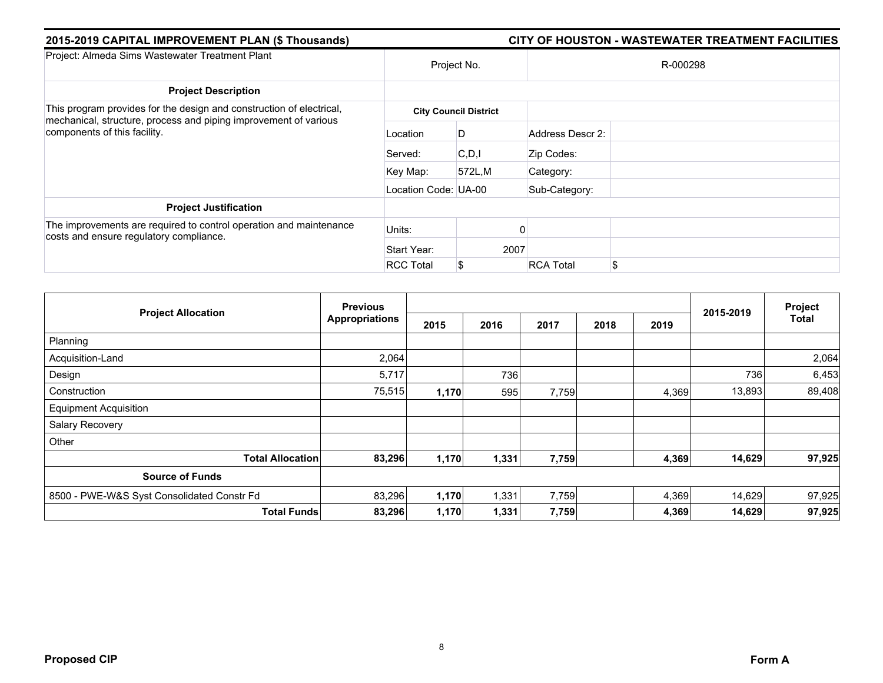| 2015-2019 CAPITAL IMPROVEMENT PLAN (\$ Thousands)                                                             |                      |                              |                  | CITY OF HOUSTON - WASTEWATER TREATMENT FACILITIES |
|---------------------------------------------------------------------------------------------------------------|----------------------|------------------------------|------------------|---------------------------------------------------|
| Project: Almeda Sims Wastewater Treatment Plant                                                               |                      | Project No.                  |                  | R-000298                                          |
| <b>Project Description</b>                                                                                    |                      |                              |                  |                                                   |
| This program provides for the design and construction of electrical,                                          |                      | <b>City Council District</b> |                  |                                                   |
| mechanical, structure, process and piping improvement of various<br>components of this facility.              | Location             | D                            | Address Descr 2: |                                                   |
|                                                                                                               | Served:              | C.D.                         | Zip Codes:       |                                                   |
|                                                                                                               | Key Map:             | 572L,M                       | Category:        |                                                   |
|                                                                                                               | Location Code: UA-00 |                              | Sub-Category:    |                                                   |
| <b>Project Justification</b>                                                                                  |                      |                              |                  |                                                   |
| The improvements are required to control operation and maintenance<br>costs and ensure regulatory compliance. | Units:               |                              |                  |                                                   |
|                                                                                                               | Start Year:          | 2007                         |                  |                                                   |
|                                                                                                               | <b>RCC Total</b>     | S                            | <b>RCA Total</b> | \$                                                |

| <b>Project Allocation</b>                  | <b>Previous</b>       |       |       |       | Project |       |           |              |
|--------------------------------------------|-----------------------|-------|-------|-------|---------|-------|-----------|--------------|
|                                            | <b>Appropriations</b> | 2015  | 2016  | 2017  | 2018    | 2019  | 2015-2019 | <b>Total</b> |
| Planning                                   |                       |       |       |       |         |       |           |              |
| Acquisition-Land                           | 2,064                 |       |       |       |         |       |           | 2,064        |
| Design                                     | 5,717                 |       | 736   |       |         |       | 736       | 6,453        |
| Construction                               | 75,515                | 1,170 | 595   | 7,759 |         | 4,369 | 13,893    | 89,408       |
| <b>Equipment Acquisition</b>               |                       |       |       |       |         |       |           |              |
| Salary Recovery                            |                       |       |       |       |         |       |           |              |
| Other                                      |                       |       |       |       |         |       |           |              |
| <b>Total Allocation</b>                    | 83,296                | 1,170 | 1,331 | 7,759 |         | 4,369 | 14,629    | 97,925       |
| <b>Source of Funds</b>                     |                       |       |       |       |         |       |           |              |
| 8500 - PWE-W&S Syst Consolidated Constr Fd | 83,296                | 1,170 | 1,331 | 7,759 |         | 4,369 | 14,629    | 97,925       |
| <b>Total Funds</b>                         | 83,296                | 1,170 | 1,331 | 7,759 |         | 4,369 | 14,629    | 97,925       |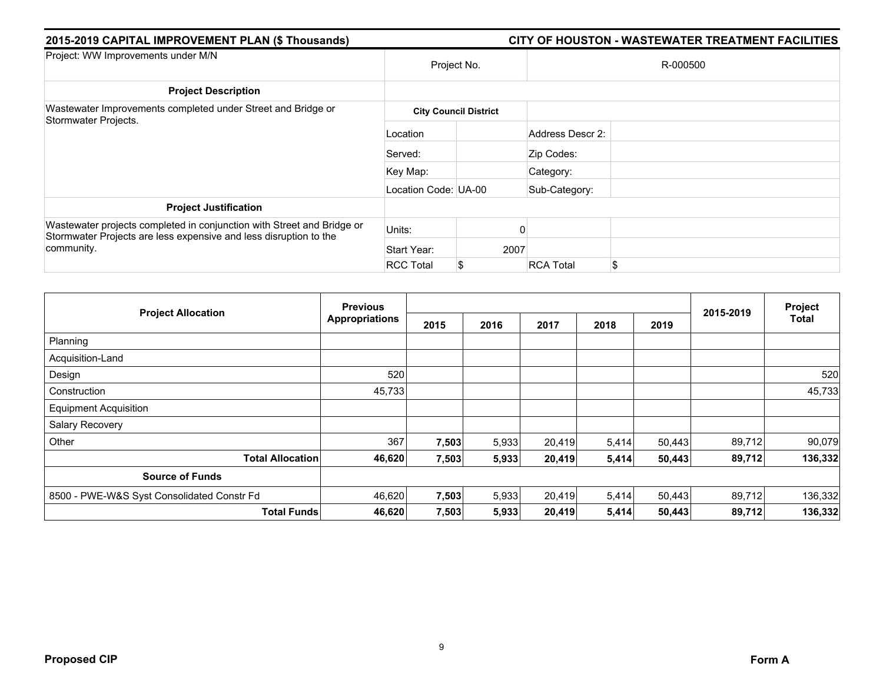| 2015-2019 CAPITAL IMPROVEMENT PLAN (\$ Thousands)                                                                                                         |                      |                              | CITY OF HOUSTON - WASTEWATER TREATMENT FACILITIES |
|-----------------------------------------------------------------------------------------------------------------------------------------------------------|----------------------|------------------------------|---------------------------------------------------|
| Project: WW Improvements under M/N                                                                                                                        | Project No.          |                              | R-000500                                          |
| <b>Project Description</b>                                                                                                                                |                      |                              |                                                   |
| Wastewater Improvements completed under Street and Bridge or<br>Stormwater Projects.                                                                      |                      | <b>City Council District</b> |                                                   |
|                                                                                                                                                           | Location             |                              | Address Descr 2:                                  |
|                                                                                                                                                           | Served:              |                              | Zip Codes:                                        |
|                                                                                                                                                           | Key Map:             |                              | Category:                                         |
|                                                                                                                                                           | Location Code: UA-00 |                              | Sub-Category:                                     |
| <b>Project Justification</b>                                                                                                                              |                      |                              |                                                   |
| Wastewater projects completed in conjunction with Street and Bridge or<br>Stormwater Projects are less expensive and less disruption to the<br>community. | Units:               |                              |                                                   |
|                                                                                                                                                           | Start Year:          |                              | 2007                                              |
|                                                                                                                                                           | <b>RCC Total</b>     |                              | \$<br><b>RCA Total</b>                            |

| <b>Project Allocation</b>                  | <b>Previous</b>       |       |       |        |       | Project |           |         |
|--------------------------------------------|-----------------------|-------|-------|--------|-------|---------|-----------|---------|
|                                            | <b>Appropriations</b> | 2015  | 2016  | 2017   | 2018  | 2019    | 2015-2019 | Total   |
| Planning                                   |                       |       |       |        |       |         |           |         |
| Acquisition-Land                           |                       |       |       |        |       |         |           |         |
| Design                                     | 520                   |       |       |        |       |         |           | 520     |
| Construction                               | 45,733                |       |       |        |       |         |           | 45,733  |
| <b>Equipment Acquisition</b>               |                       |       |       |        |       |         |           |         |
| Salary Recovery                            |                       |       |       |        |       |         |           |         |
| Other                                      | 367                   | 7,503 | 5,933 | 20,419 | 5,414 | 50,443  | 89,712    | 90,079  |
| <b>Total Allocation</b>                    | 46,620                | 7,503 | 5,933 | 20,419 | 5,414 | 50,443  | 89,712    | 136,332 |
| <b>Source of Funds</b>                     |                       |       |       |        |       |         |           |         |
| 8500 - PWE-W&S Syst Consolidated Constr Fd | 46,620                | 7,503 | 5,933 | 20,419 | 5,414 | 50,443  | 89,712    | 136,332 |
| <b>Total Funds</b>                         | 46,620                | 7,503 | 5,933 | 20,419 | 5,414 | 50,443  | 89,712    | 136,332 |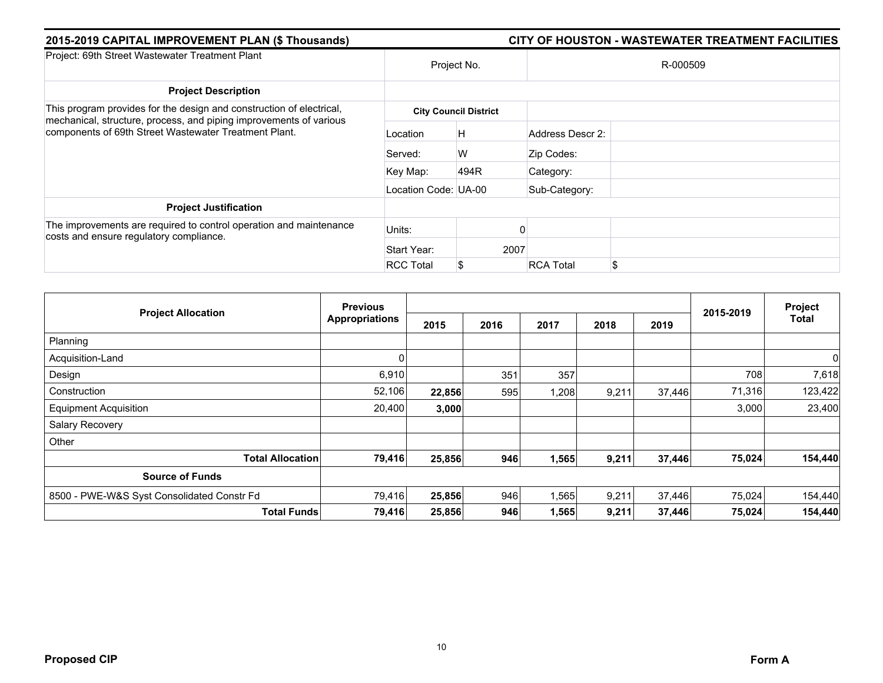| 2015-2019 CAPITAL IMPROVEMENT PLAN (\$ Thousands)                                                                           |                      | CITY OF HOUSTON - WASTEWATER TREATMENT FACILITIES |                  |    |  |  |  |
|-----------------------------------------------------------------------------------------------------------------------------|----------------------|---------------------------------------------------|------------------|----|--|--|--|
| Project: 69th Street Wastewater Treatment Plant                                                                             |                      | Project No.                                       | R-000509         |    |  |  |  |
| <b>Project Description</b>                                                                                                  |                      |                                                   |                  |    |  |  |  |
| This program provides for the design and construction of electrical,                                                        |                      | <b>City Council District</b>                      |                  |    |  |  |  |
| mechanical, structure, process, and piping improvements of various<br>components of 69th Street Wastewater Treatment Plant. | Location             | H                                                 | Address Descr 2: |    |  |  |  |
|                                                                                                                             | Served:              | W                                                 | Zip Codes:       |    |  |  |  |
|                                                                                                                             | Key Map:             | 494R                                              | Category:        |    |  |  |  |
|                                                                                                                             | Location Code: UA-00 |                                                   | Sub-Category:    |    |  |  |  |
| <b>Project Justification</b>                                                                                                |                      |                                                   |                  |    |  |  |  |
| The improvements are required to control operation and maintenance<br>costs and ensure regulatory compliance.               | Units:               |                                                   |                  |    |  |  |  |
|                                                                                                                             | Start Year:          | 2007                                              |                  |    |  |  |  |
|                                                                                                                             | <b>RCC Total</b>     | S                                                 | <b>RCA Total</b> | \$ |  |  |  |

| <b>Project Allocation</b>                  | <b>Previous</b>       |        |      |       |       | Project |           |         |
|--------------------------------------------|-----------------------|--------|------|-------|-------|---------|-----------|---------|
|                                            | <b>Appropriations</b> | 2015   | 2016 | 2017  | 2018  | 2019    | 2015-2019 | Total   |
| Planning                                   |                       |        |      |       |       |         |           |         |
| Acquisition-Land                           |                       |        |      |       |       |         |           | 0       |
| Design                                     | 6,910                 |        | 351  | 357   |       |         | 708       | 7,618   |
| Construction                               | 52,106                | 22,856 | 595  | 1,208 | 9,211 | 37,446  | 71,316    | 123,422 |
| <b>Equipment Acquisition</b>               | 20,400                | 3,000  |      |       |       |         | 3,000     | 23,400  |
| Salary Recovery                            |                       |        |      |       |       |         |           |         |
| Other                                      |                       |        |      |       |       |         |           |         |
| <b>Total Allocation</b>                    | 79,416                | 25,856 | 946  | 1,565 | 9,211 | 37,446  | 75,024    | 154,440 |
| <b>Source of Funds</b>                     |                       |        |      |       |       |         |           |         |
| 8500 - PWE-W&S Syst Consolidated Constr Fd | 79,416                | 25,856 | 946  | 1,565 | 9,211 | 37,446  | 75,024    | 154,440 |
| <b>Total Funds</b>                         | 79,416                | 25,856 | 946  | 1,565 | 9,211 | 37,446  | 75,024    | 154,440 |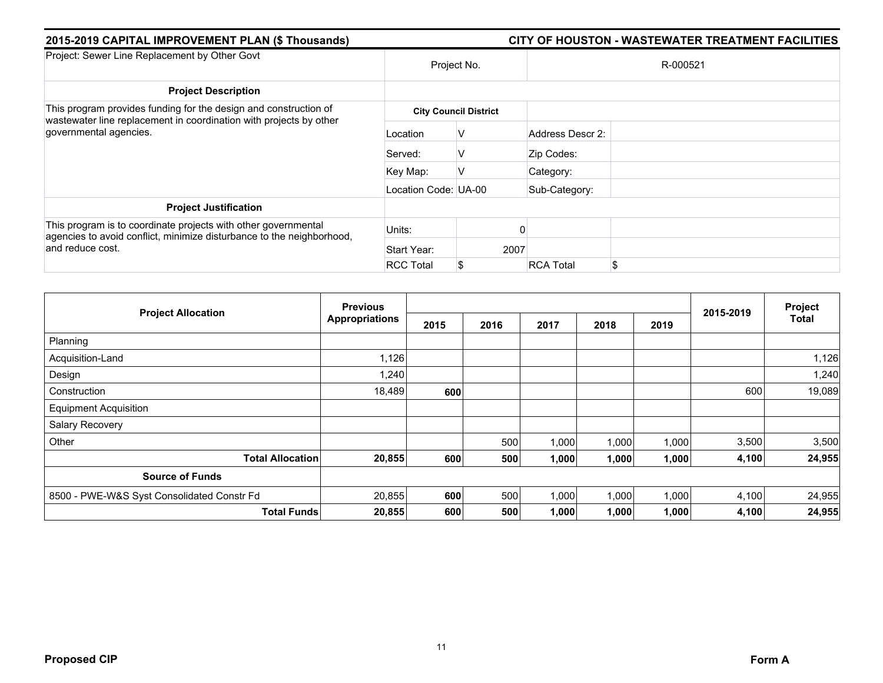| 2015-2019 CAPITAL IMPROVEMENT PLAN (\$ Thousands)                                                                                                           |                      |                              | CITY OF HOUSTON - WASTEWATER TREATMENT FACILITIES |  |  |  |  |  |
|-------------------------------------------------------------------------------------------------------------------------------------------------------------|----------------------|------------------------------|---------------------------------------------------|--|--|--|--|--|
| Project: Sewer Line Replacement by Other Govt                                                                                                               |                      | Project No.                  | R-000521                                          |  |  |  |  |  |
| <b>Project Description</b>                                                                                                                                  |                      |                              |                                                   |  |  |  |  |  |
| This program provides funding for the design and construction of<br>wastewater line replacement in coordination with projects by other                      |                      | <b>City Council District</b> |                                                   |  |  |  |  |  |
| governmental agencies.                                                                                                                                      | Location             | V                            | Address Descr 2:                                  |  |  |  |  |  |
|                                                                                                                                                             | Served:              | v                            | Zip Codes:                                        |  |  |  |  |  |
|                                                                                                                                                             | Key Map:             | V                            | Category:                                         |  |  |  |  |  |
|                                                                                                                                                             | Location Code: UA-00 |                              | Sub-Category:                                     |  |  |  |  |  |
| <b>Project Justification</b>                                                                                                                                |                      |                              |                                                   |  |  |  |  |  |
| This program is to coordinate projects with other governmental<br>agencies to avoid conflict, minimize disturbance to the neighborhood,<br>and reduce cost. | Units:               |                              |                                                   |  |  |  |  |  |
|                                                                                                                                                             | Start Year:          | 2007                         |                                                   |  |  |  |  |  |
|                                                                                                                                                             | <b>RCC Total</b>     |                              | \$<br><b>RCA Total</b>                            |  |  |  |  |  |

| <b>Project Allocation</b>                  | <b>Previous</b>       |      |      |       |       | Project |           |        |
|--------------------------------------------|-----------------------|------|------|-------|-------|---------|-----------|--------|
|                                            | <b>Appropriations</b> | 2015 | 2016 | 2017  | 2018  | 2019    | 2015-2019 | Total  |
| Planning                                   |                       |      |      |       |       |         |           |        |
| Acquisition-Land                           | 1,126                 |      |      |       |       |         |           | 1,126  |
| Design                                     | 1,240                 |      |      |       |       |         |           | 1,240  |
| Construction                               | 18,489                | 600  |      |       |       |         | 600       | 19,089 |
| <b>Equipment Acquisition</b>               |                       |      |      |       |       |         |           |        |
| Salary Recovery                            |                       |      |      |       |       |         |           |        |
| Other                                      |                       |      | 500  | 1,000 | 1,000 | 1,000   | 3,500     | 3,500  |
| <b>Total Allocation</b>                    | 20,855                | 600  | 500  | 1,000 | 1,000 | 1,000   | 4,100     | 24,955 |
| <b>Source of Funds</b>                     |                       |      |      |       |       |         |           |        |
| 8500 - PWE-W&S Syst Consolidated Constr Fd | 20,855                | 600  | 500  | 1,000 | 1,000 | 1,000   | 4,100     | 24,955 |
| <b>Total Funds</b>                         | 20,855                | 600  | 500  | 1,000 | 1,000 | 1,000   | 4,100     | 24,955 |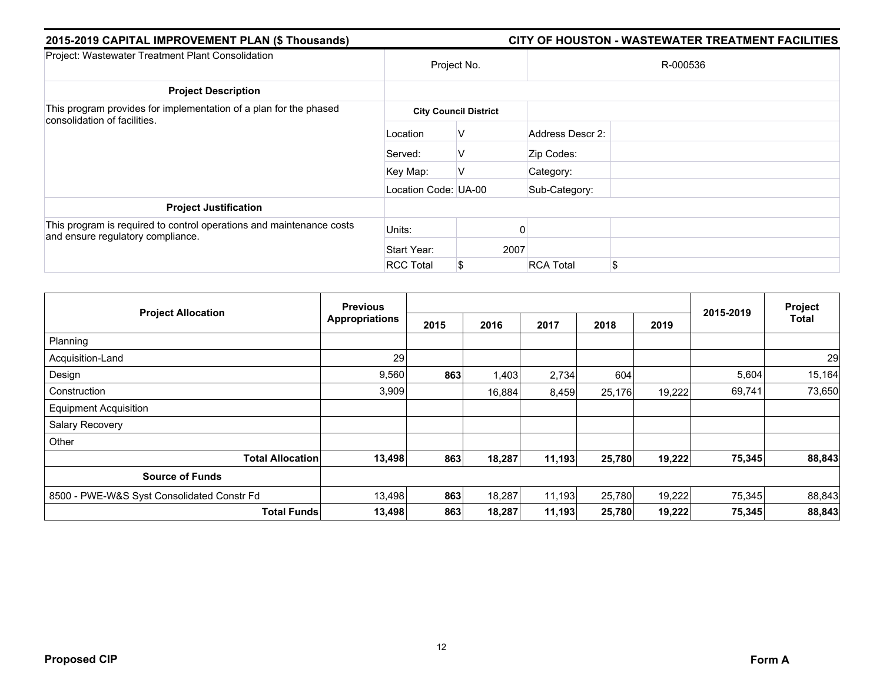| 2015-2019 CAPITAL IMPROVEMENT PLAN (\$ Thousands)                                                         |                      | CITY OF HOUSTON - WASTEWATER TREATMENT FACILITIES |                  |    |  |  |  |  |
|-----------------------------------------------------------------------------------------------------------|----------------------|---------------------------------------------------|------------------|----|--|--|--|--|
| Project: Wastewater Treatment Plant Consolidation                                                         | Project No.          |                                                   | R-000536         |    |  |  |  |  |
| <b>Project Description</b>                                                                                |                      |                                                   |                  |    |  |  |  |  |
| This program provides for implementation of a plan for the phased<br>consolidation of facilities.         |                      | <b>City Council District</b>                      |                  |    |  |  |  |  |
|                                                                                                           | Location             | V                                                 | Address Descr 2: |    |  |  |  |  |
|                                                                                                           | Served:              | V                                                 | Zip Codes:       |    |  |  |  |  |
|                                                                                                           | Key Map:             | V                                                 | Category:        |    |  |  |  |  |
|                                                                                                           | Location Code: UA-00 |                                                   | Sub-Category:    |    |  |  |  |  |
| <b>Project Justification</b>                                                                              |                      |                                                   |                  |    |  |  |  |  |
| This program is required to control operations and maintenance costs<br>and ensure regulatory compliance. | Units:               |                                                   |                  |    |  |  |  |  |
|                                                                                                           | Start Year:          | 2007                                              |                  |    |  |  |  |  |
|                                                                                                           | <b>RCC Total</b>     | S                                                 | <b>RCA Total</b> | \$ |  |  |  |  |

| <b>Project Allocation</b>                  | <b>Previous</b>       |      |        |        |        |        |           | Project |
|--------------------------------------------|-----------------------|------|--------|--------|--------|--------|-----------|---------|
|                                            | <b>Appropriations</b> | 2015 | 2016   | 2017   | 2018   | 2019   | 2015-2019 | Total   |
| Planning                                   |                       |      |        |        |        |        |           |         |
| Acquisition-Land                           | 29                    |      |        |        |        |        |           | 29      |
| Design                                     | 9,560                 | 863  | 1,403  | 2,734  | 604    |        | 5,604     | 15,164  |
| Construction                               | 3,909                 |      | 16,884 | 8,459  | 25,176 | 19,222 | 69,741    | 73,650  |
| <b>Equipment Acquisition</b>               |                       |      |        |        |        |        |           |         |
| Salary Recovery                            |                       |      |        |        |        |        |           |         |
| Other                                      |                       |      |        |        |        |        |           |         |
| <b>Total Allocation</b>                    | 13,498                | 863  | 18,287 | 11,193 | 25,780 | 19,222 | 75,345    | 88,843  |
| <b>Source of Funds</b>                     |                       |      |        |        |        |        |           |         |
| 8500 - PWE-W&S Syst Consolidated Constr Fd | 13,498                | 863  | 18,287 | 11,193 | 25,780 | 19,222 | 75,345    | 88,843  |
| <b>Total Funds</b>                         | 13,498                | 863  | 18,287 | 11,193 | 25,780 | 19,222 | 75,345    | 88,843  |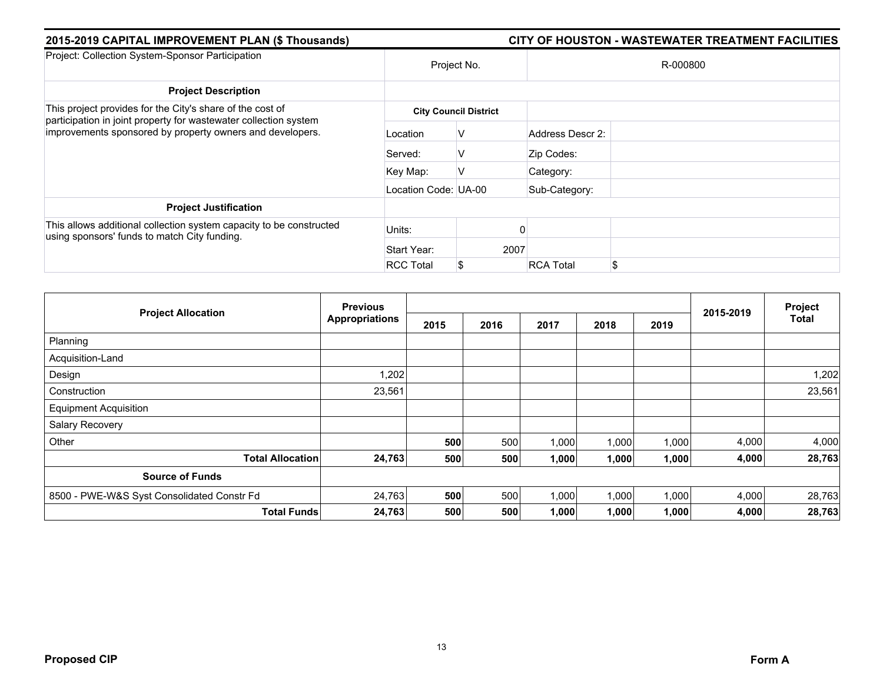| 2015-2019 CAPITAL IMPROVEMENT PLAN (\$ Thousands)                                                                             |                      | CITY OF HOUSTON - WASTEWATER TREATMENT FACILITIES |                  |          |  |  |  |
|-------------------------------------------------------------------------------------------------------------------------------|----------------------|---------------------------------------------------|------------------|----------|--|--|--|
| Project: Collection System-Sponsor Participation                                                                              |                      | Project No.                                       |                  | R-000800 |  |  |  |
| <b>Project Description</b>                                                                                                    |                      |                                                   |                  |          |  |  |  |
| This project provides for the City's share of the cost of                                                                     |                      | <b>City Council District</b>                      |                  |          |  |  |  |
| participation in joint property for wastewater collection system<br>improvements sponsored by property owners and developers. | Location             | V                                                 | Address Descr 2: |          |  |  |  |
|                                                                                                                               | Served:              | V                                                 | Zip Codes:       |          |  |  |  |
|                                                                                                                               | Key Map:             | v                                                 | Category:        |          |  |  |  |
|                                                                                                                               | Location Code: UA-00 |                                                   | Sub-Category:    |          |  |  |  |
| <b>Project Justification</b>                                                                                                  |                      |                                                   |                  |          |  |  |  |
| This allows additional collection system capacity to be constructed<br>using sponsors' funds to match City funding.           | Units:               |                                                   |                  |          |  |  |  |
|                                                                                                                               | Start Year:          | 2007                                              |                  |          |  |  |  |
|                                                                                                                               | <b>RCC Total</b>     | S                                                 | <b>RCA Total</b> | \$       |  |  |  |

|                                            | <b>Previous</b>       |      |      |       |       | Project |           |              |
|--------------------------------------------|-----------------------|------|------|-------|-------|---------|-----------|--------------|
| <b>Project Allocation</b>                  | <b>Appropriations</b> | 2015 | 2016 | 2017  | 2018  | 2019    | 2015-2019 | <b>Total</b> |
| Planning                                   |                       |      |      |       |       |         |           |              |
| Acquisition-Land                           |                       |      |      |       |       |         |           |              |
| Design                                     | 1,202                 |      |      |       |       |         |           | 1,202        |
| Construction                               | 23,561                |      |      |       |       |         |           | 23,561       |
| <b>Equipment Acquisition</b>               |                       |      |      |       |       |         |           |              |
| Salary Recovery                            |                       |      |      |       |       |         |           |              |
| Other                                      |                       | 500  | 500  | 1,000 | 1,000 | 1,000   | 4,000     | 4,000        |
| <b>Total Allocation</b>                    | 24,763                | 500  | 500  | 1,000 | 1,000 | 1,000   | 4,000     | 28,763       |
| <b>Source of Funds</b>                     |                       |      |      |       |       |         |           |              |
| 8500 - PWE-W&S Syst Consolidated Constr Fd | 24,763                | 500  | 500  | 1,000 | 1,000 | 1,000   | 4,000     | 28,763       |
| <b>Total Funds</b>                         | 24,763                | 500  | 500  | 1,000 | 1,000 | 1,000   | 4,000     | 28,763       |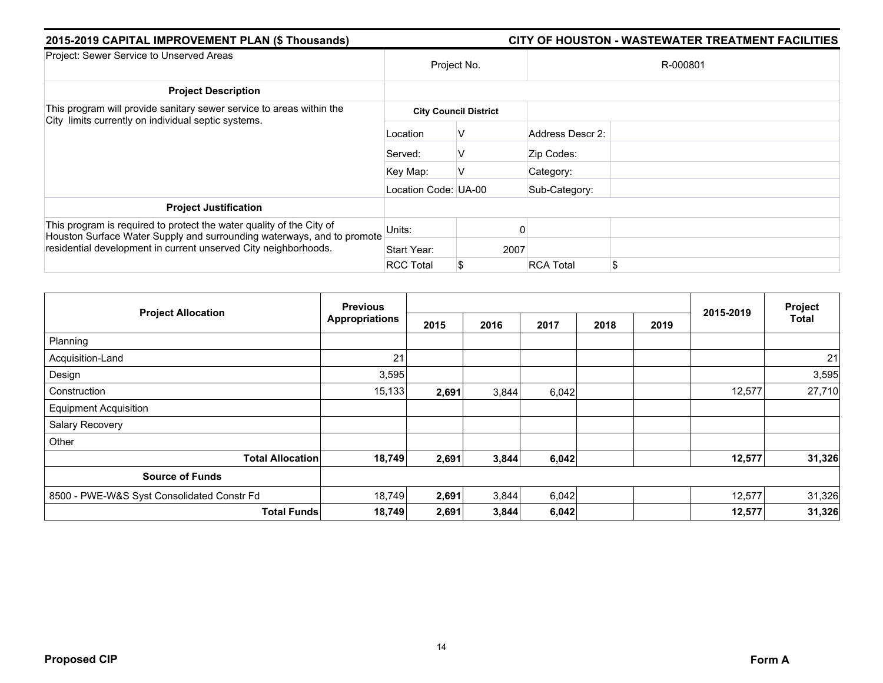| 2015-2019 CAPITAL IMPROVEMENT PLAN (\$ Thousands)                                                                                                                                                                 |                      |                              | CITY OF HOUSTON - WASTEWATER TREATMENT FACILITIES |          |  |  |  |  |
|-------------------------------------------------------------------------------------------------------------------------------------------------------------------------------------------------------------------|----------------------|------------------------------|---------------------------------------------------|----------|--|--|--|--|
| Project: Sewer Service to Unserved Areas                                                                                                                                                                          | Project No.          |                              |                                                   | R-000801 |  |  |  |  |
| <b>Project Description</b>                                                                                                                                                                                        |                      |                              |                                                   |          |  |  |  |  |
| This program will provide sanitary sewer service to areas within the<br>City limits currently on individual septic systems.                                                                                       |                      | <b>City Council District</b> |                                                   |          |  |  |  |  |
|                                                                                                                                                                                                                   | Location             | V                            | Address Descr 2:                                  |          |  |  |  |  |
|                                                                                                                                                                                                                   | Served:              | v                            | Zip Codes:                                        |          |  |  |  |  |
|                                                                                                                                                                                                                   | Key Map:             | V                            | Category:                                         |          |  |  |  |  |
|                                                                                                                                                                                                                   | Location Code: UA-00 |                              | Sub-Category:                                     |          |  |  |  |  |
| <b>Project Justification</b>                                                                                                                                                                                      |                      |                              |                                                   |          |  |  |  |  |
| This program is required to protect the water quality of the City of<br>Houston Surface Water Supply and surrounding waterways, and to promote<br>residential development in current unserved City neighborhoods. | Units:               |                              |                                                   |          |  |  |  |  |
|                                                                                                                                                                                                                   | Start Year:          | 2007                         |                                                   |          |  |  |  |  |
|                                                                                                                                                                                                                   | <b>RCC Total</b>     |                              | <b>RCA Total</b>                                  | \$       |  |  |  |  |

|                                            | <b>Previous</b>       |       |       |       | Project |      |           |        |
|--------------------------------------------|-----------------------|-------|-------|-------|---------|------|-----------|--------|
| <b>Project Allocation</b>                  | <b>Appropriations</b> | 2015  | 2016  | 2017  | 2018    | 2019 | 2015-2019 | Total  |
| Planning                                   |                       |       |       |       |         |      |           |        |
| Acquisition-Land                           | 21                    |       |       |       |         |      |           | 21     |
| Design                                     | 3,595                 |       |       |       |         |      |           | 3,595  |
| Construction                               | 15,133                | 2,691 | 3,844 | 6,042 |         |      | 12,577    | 27,710 |
| <b>Equipment Acquisition</b>               |                       |       |       |       |         |      |           |        |
| Salary Recovery                            |                       |       |       |       |         |      |           |        |
| Other                                      |                       |       |       |       |         |      |           |        |
| <b>Total Allocation</b>                    | 18,749                | 2,691 | 3,844 | 6,042 |         |      | 12,577    | 31,326 |
| <b>Source of Funds</b>                     |                       |       |       |       |         |      |           |        |
| 8500 - PWE-W&S Syst Consolidated Constr Fd | 18,749                | 2,691 | 3,844 | 6,042 |         |      | 12,577    | 31,326 |
| <b>Total Funds</b>                         | 18,749                | 2,691 | 3,844 | 6,042 |         |      | 12,577    | 31,326 |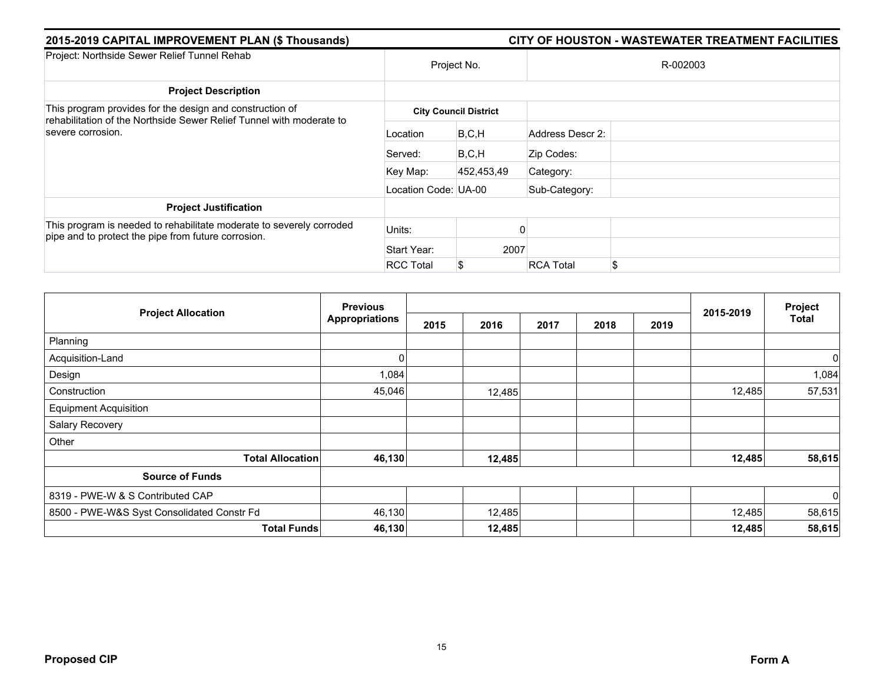| 2015-2019 CAPITAL IMPROVEMENT PLAN (\$ Thousands)                                                                                | CITY OF HOUSTON - WASTEWATER TREATMENT FACILITIES |                              |                        |  |  |  |  |
|----------------------------------------------------------------------------------------------------------------------------------|---------------------------------------------------|------------------------------|------------------------|--|--|--|--|
| Project: Northside Sewer Relief Tunnel Rehab                                                                                     |                                                   | Project No.                  | R-002003               |  |  |  |  |
| <b>Project Description</b>                                                                                                       |                                                   |                              |                        |  |  |  |  |
| This program provides for the design and construction of<br>rehabilitation of the Northside Sewer Relief Tunnel with moderate to |                                                   | <b>City Council District</b> |                        |  |  |  |  |
| severe corrosion.                                                                                                                | Location                                          | B, C, H                      | Address Descr 2:       |  |  |  |  |
|                                                                                                                                  | Served:                                           | B, C, H                      | Zip Codes:             |  |  |  |  |
|                                                                                                                                  | Key Map:                                          | 452,453,49                   | Category:              |  |  |  |  |
|                                                                                                                                  | Location Code: UA-00                              |                              | Sub-Category:          |  |  |  |  |
| <b>Project Justification</b>                                                                                                     |                                                   |                              |                        |  |  |  |  |
| This program is needed to rehabilitate moderate to severely corroded<br>pipe and to protect the pipe from future corrosion.      | Units:                                            |                              |                        |  |  |  |  |
|                                                                                                                                  | Start Year:                                       | 2007                         |                        |  |  |  |  |
|                                                                                                                                  | <b>RCC Total</b>                                  | S.                           | \$<br><b>RCA Total</b> |  |  |  |  |

| <b>Project Allocation</b>                  | <b>Previous</b>       |      |        |      | Project |      |           |             |
|--------------------------------------------|-----------------------|------|--------|------|---------|------|-----------|-------------|
|                                            | <b>Appropriations</b> | 2015 | 2016   | 2017 | 2018    | 2019 | 2015-2019 | Total       |
| Planning                                   |                       |      |        |      |         |      |           |             |
| Acquisition-Land                           | 0                     |      |        |      |         |      |           | $\mathbf 0$ |
| Design                                     | 1,084                 |      |        |      |         |      |           | 1,084       |
| Construction                               | 45,046                |      | 12,485 |      |         |      | 12,485    | 57,531      |
| <b>Equipment Acquisition</b>               |                       |      |        |      |         |      |           |             |
| Salary Recovery                            |                       |      |        |      |         |      |           |             |
| Other                                      |                       |      |        |      |         |      |           |             |
| <b>Total Allocation</b>                    | 46,130                |      | 12,485 |      |         |      | 12,485    | 58,615      |
| <b>Source of Funds</b>                     |                       |      |        |      |         |      |           |             |
| 8319 - PWE-W & S Contributed CAP           |                       |      |        |      |         |      |           | $\mathbf 0$ |
| 8500 - PWE-W&S Syst Consolidated Constr Fd | 46,130                |      | 12,485 |      |         |      | 12,485    | 58,615      |
| <b>Total Funds</b>                         | 46,130                |      | 12,485 |      |         |      | 12,485    | 58,615      |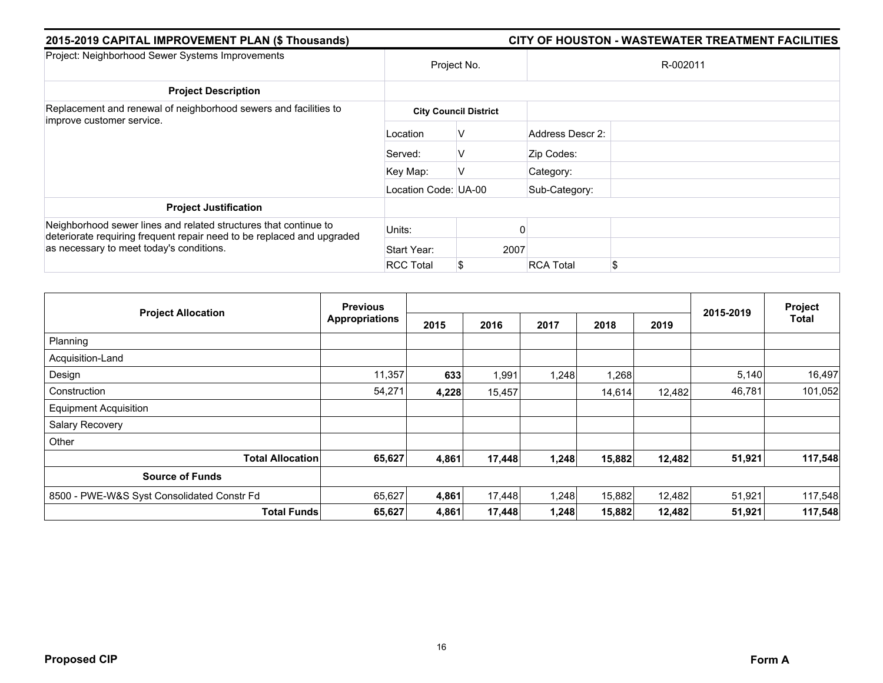| 2015-2019 CAPITAL IMPROVEMENT PLAN (\$ Thousands)                                                                                                                                      |                      | CITY OF HOUSTON - WASTEWATER TREATMENT FACILITIES |                  |    |  |  |
|----------------------------------------------------------------------------------------------------------------------------------------------------------------------------------------|----------------------|---------------------------------------------------|------------------|----|--|--|
| Project: Neighborhood Sewer Systems Improvements                                                                                                                                       |                      | Project No.                                       | R-002011         |    |  |  |
| <b>Project Description</b>                                                                                                                                                             |                      |                                                   |                  |    |  |  |
| Replacement and renewal of neighborhood sewers and facilities to<br>improve customer service.                                                                                          |                      | <b>City Council District</b>                      |                  |    |  |  |
|                                                                                                                                                                                        | Location             | v                                                 | Address Descr 2: |    |  |  |
|                                                                                                                                                                                        | Served:              | V                                                 | Zip Codes:       |    |  |  |
|                                                                                                                                                                                        | Key Map:             | v                                                 | Category:        |    |  |  |
|                                                                                                                                                                                        | Location Code: UA-00 |                                                   | Sub-Category:    |    |  |  |
| <b>Project Justification</b>                                                                                                                                                           |                      |                                                   |                  |    |  |  |
| Neighborhood sewer lines and related structures that continue to<br>deteriorate requiring frequent repair need to be replaced and upgraded<br>as necessary to meet today's conditions. | Units:               |                                                   |                  |    |  |  |
|                                                                                                                                                                                        | Start Year:          | 2007                                              |                  |    |  |  |
|                                                                                                                                                                                        | <b>RCC Total</b>     | S                                                 | <b>RCA Total</b> | \$ |  |  |

| <b>Project Allocation</b>                  | <b>Previous</b>       |       |        |       |        | Project |           |              |
|--------------------------------------------|-----------------------|-------|--------|-------|--------|---------|-----------|--------------|
|                                            | <b>Appropriations</b> | 2015  | 2016   | 2017  | 2018   | 2019    | 2015-2019 | <b>Total</b> |
| Planning                                   |                       |       |        |       |        |         |           |              |
| Acquisition-Land                           |                       |       |        |       |        |         |           |              |
| Design                                     | 11,357                | 633   | 1,991  | 1,248 | 1,268  |         | 5,140     | 16,497       |
| Construction                               | 54,271                | 4,228 | 15,457 |       | 14,614 | 12,482  | 46,781    | 101,052      |
| <b>Equipment Acquisition</b>               |                       |       |        |       |        |         |           |              |
| Salary Recovery                            |                       |       |        |       |        |         |           |              |
| Other                                      |                       |       |        |       |        |         |           |              |
| <b>Total Allocation</b>                    | 65,627                | 4,861 | 17,448 | 1,248 | 15,882 | 12,482  | 51,921    | 117,548      |
| <b>Source of Funds</b>                     |                       |       |        |       |        |         |           |              |
| 8500 - PWE-W&S Syst Consolidated Constr Fd | 65,627                | 4,861 | 17,448 | 1,248 | 15,882 | 12,482  | 51,921    | 117,548      |
| <b>Total Funds</b>                         | 65,627                | 4,861 | 17,448 | 1,248 | 15,882 | 12,482  | 51,921    | 117,548      |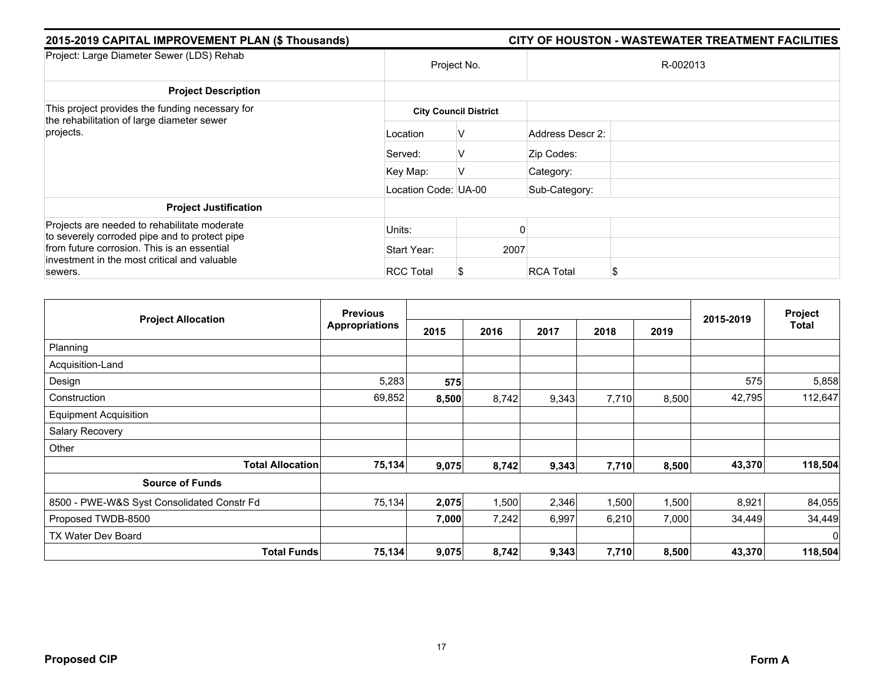| 2015-2019 CAPITAL IMPROVEMENT PLAN (\$ Thousands)                                                                                                                                                       |                      |                              | CITY OF HOUSTON - WASTEWATER TREATMENT FACILITIES |
|---------------------------------------------------------------------------------------------------------------------------------------------------------------------------------------------------------|----------------------|------------------------------|---------------------------------------------------|
| Project: Large Diameter Sewer (LDS) Rehab                                                                                                                                                               | Project No.          |                              | R-002013                                          |
| <b>Project Description</b>                                                                                                                                                                              |                      |                              |                                                   |
| This project provides the funding necessary for<br>the rehabilitation of large diameter sewer                                                                                                           |                      | <b>City Council District</b> |                                                   |
| projects.                                                                                                                                                                                               | Location             | v                            | Address Descr 2:                                  |
|                                                                                                                                                                                                         | Served:              | V                            | Zip Codes:                                        |
|                                                                                                                                                                                                         | Key Map:             | V                            | Category:                                         |
|                                                                                                                                                                                                         | Location Code: UA-00 |                              | Sub-Category:                                     |
| <b>Project Justification</b>                                                                                                                                                                            |                      |                              |                                                   |
| Projects are needed to rehabilitate moderate<br>to severely corroded pipe and to protect pipe<br>from future corrosion. This is an essential<br>investment in the most critical and valuable<br>sewers. | Units:               |                              |                                                   |
|                                                                                                                                                                                                         | Start Year:          | 2007                         |                                                   |
|                                                                                                                                                                                                         | <b>RCC Total</b>     |                              | <b>RCA Total</b><br>\$                            |

|                                            | <b>Previous</b>       |       |       |       |       | Project |           |          |
|--------------------------------------------|-----------------------|-------|-------|-------|-------|---------|-----------|----------|
| <b>Project Allocation</b>                  | <b>Appropriations</b> | 2015  | 2016  | 2017  | 2018  | 2019    | 2015-2019 | Total    |
| Planning                                   |                       |       |       |       |       |         |           |          |
| Acquisition-Land                           |                       |       |       |       |       |         |           |          |
| Design                                     | 5,283                 | 575   |       |       |       |         | 575       | 5,858    |
| Construction                               | 69,852                | 8,500 | 8,742 | 9,343 | 7,710 | 8,500   | 42,795    | 112,647  |
| <b>Equipment Acquisition</b>               |                       |       |       |       |       |         |           |          |
| Salary Recovery                            |                       |       |       |       |       |         |           |          |
| Other                                      |                       |       |       |       |       |         |           |          |
| <b>Total Allocation</b>                    | 75,134                | 9,075 | 8,742 | 9,343 | 7,710 | 8,500   | 43,370    | 118,504  |
| <b>Source of Funds</b>                     |                       |       |       |       |       |         |           |          |
| 8500 - PWE-W&S Syst Consolidated Constr Fd | 75,134                | 2,075 | 1,500 | 2,346 | 1,500 | 1,500   | 8,921     | 84,055   |
| Proposed TWDB-8500                         |                       | 7,000 | 7,242 | 6,997 | 6,210 | 7,000   | 34,449    | 34,449   |
| TX Water Dev Board                         |                       |       |       |       |       |         |           | $\Omega$ |
| <b>Total Funds</b>                         | 75,134                | 9,075 | 8,742 | 9,343 | 7,710 | 8,500   | 43,370    | 118,504  |